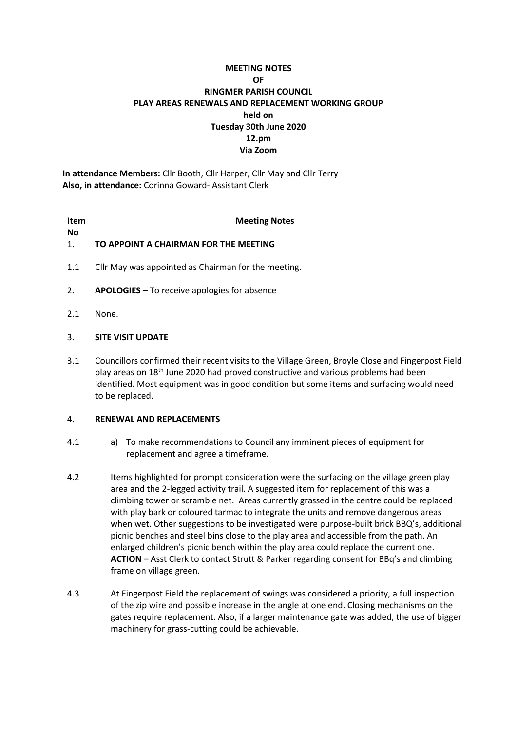# **MEETING NOTES OF RINGMER PARISH COUNCIL PLAY AREAS RENEWALS AND REPLACEMENT WORKING GROUP held on Tuesday 30th June 2020 12.pm Via Zoom**

**In attendance Members:** Cllr Booth, Cllr Harper, Cllr May and Cllr Terry **Also, in attendance:** Corinna Goward- Assistant Clerk

**Item No**

# **Meeting Notes**

# 1. **TO APPOINT A CHAIRMAN FOR THE MEETING**

- 1.1 Cllr May was appointed as Chairman for the meeting.
- 2. **APOLOGIES –** To receive apologies for absence
- 2.1 None.

## 3. **SITE VISIT UPDATE**

3.1 Councillors confirmed their recent visits to the Village Green, Broyle Close and Fingerpost Field play areas on 18th June 2020 had proved constructive and various problems had been identified. Most equipment was in good condition but some items and surfacing would need to be replaced.

### 4. **RENEWAL AND REPLACEMENTS**

- 4.1 a) To make recommendations to Council any imminent pieces of equipment for replacement and agree a timeframe.
- 4.2 Items highlighted for prompt consideration were the surfacing on the village green play area and the 2-legged activity trail. A suggested item for replacement of this was a climbing tower or scramble net. Areas currently grassed in the centre could be replaced with play bark or coloured tarmac to integrate the units and remove dangerous areas when wet. Other suggestions to be investigated were purpose-built brick BBQ's, additional picnic benches and steel bins close to the play area and accessible from the path. An enlarged children's picnic bench within the play area could replace the current one. **ACTION** – Asst Clerk to contact Strutt & Parker regarding consent for BBq's and climbing frame on village green.
- 4.3 At Fingerpost Field the replacement of swings was considered a priority, a full inspection of the zip wire and possible increase in the angle at one end. Closing mechanisms on the gates require replacement. Also, if a larger maintenance gate was added, the use of bigger machinery for grass-cutting could be achievable.